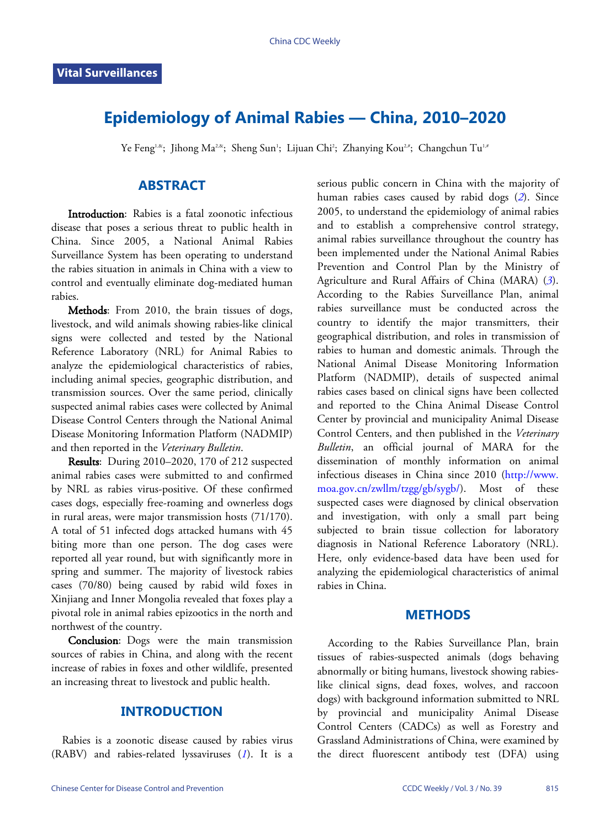# **Epidemiology of Animal Rabies — China, 2010–2020**

Ye Feng<sup>i,&</sup>; Jihong Ma<sup>2,&</sup>; Sheng Sun<sup>1</sup>; Lijuan Chi<sup>2</sup>; Zhanying Kou<sup>2,#</sup>; Changchun Tu<sup>1,#</sup>

## **ABSTRACT**

Introduction: Rabies is a fatal zoonotic infectious disease that poses a serious threat to public health in China. Since 2005, a National Animal Rabies Surveillance System has been operating to understand the rabies situation in animals in China with a view to control and eventually eliminate dog-mediated human rabies.

Methods: From 2010, the brain tissues of dogs, livestock, and wild animals showing rabies-like clinical signs were collected and tested by the National Reference Laboratory (NRL) for Animal Rabies to analyze the epidemiological characteristics of rabies, including animal species, geographic distribution, and transmission sources. Over the same period, clinically suspected animal rabies cases were collected by Animal Disease Control Centers through the National Animal Disease Monitoring Information Platform (NADMIP) and then reported in the *Veterinary Bulletin*.

Results: During 2010–2020, 170 of 212 suspected animal rabies cases were submitted to and confirmed by NRL as rabies virus-positive. Of these confirmed cases dogs, especially free-roaming and ownerless dogs in rural areas, were major transmission hosts (71/170). A total of 51 infected dogs attacked humans with 45 biting more than one person. The dog cases were reported all year round, but with significantly more in spring and summer. The majority of livestock rabies cases (70/80) being caused by rabid wild foxes in Xinjiang and Inner Mongolia revealed that foxes play a pivotal role in animal rabies epizootics in the north and northwest of the country.

Conclusion: Dogs were the main transmission sources of rabies in China, and along with the recent increase of rabies in foxes and other wildlife, presented an increasing threat to livestock and public health.

### **INTRODUCTION**

Rabies is a zoonotic disease caused by [ra](#page-3-0)bies virus (RABV) and rabies-related lyssaviruses (*[1](#page-3-0)*). It is a serious public concern in China with the majority of human rabies cases caused by rabid dogs (*[2](#page-3-1)*). Since 2005, to understand the epidemiology of animal rabies and to establish a comprehensive control strategy, animal rabies surveillance throughout the country has been implemented under the National Animal Rabies Prevention and Control Plan by the Ministry of Agriculture and Rural Affairs of China (MARA) (*[3](#page-3-2)*). According to the Rabies Surveillance Plan, animal rabies surveillance must be conducted across the country to identify the major transmitters, their geographical distribution, and roles in transmission of rabies to human and domestic animals. Through the National Animal Disease Monitoring Information Platform (NADMIP), details of suspected animal rabies cases based on clinical signs have been collected and reported to the China Animal Disease Control Center by provincial and municipality Animal Disease Control Centers, and then published in the *Veterinary Bulletin*, an official journal of MARA for the dissemination of monthly information on animal infectious diseases in China since 2010 ([http://www.](http://www.moa.gov.cn/zwllm/tzgg/gb/sygb/) [moa.gov.cn/zwllm/tzgg/gb/sygb/\)](http://www.moa.gov.cn/zwllm/tzgg/gb/sygb/). Most of these suspected cases were diagnosed by clinical observation and investigation, with only a small part being subjected to brain tissue collection for laboratory diagnosis in National Reference Laboratory (NRL). Here, only evidence-based data have been used for analyzing the epidemiological characteristics of animal rabies in China.

#### **METHODS**

According to the Rabies Surveillance Plan, brain tissues of rabies-suspected animals (dogs behaving abnormally or biting humans, livestock showing rabieslike clinical signs, dead foxes, wolves, and raccoon dogs) with background information submitted to NRL by provincial and municipality Animal Disease Control Centers (CADCs) as well as Forestry and Grassland Administrations of China, were examined by the direct fluorescent antibody test (DFA) using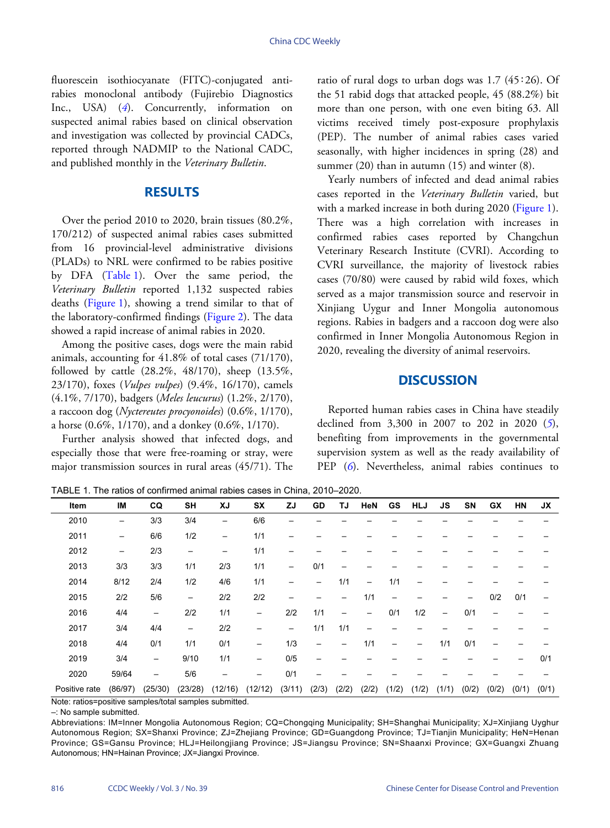fluorescein isothiocyanate (FITC)-conjugated antirabies monoclonal antibody (Fujirebio Diagnostics Inc., USA) (*[4](#page-3-3)*). Concurrently, information on suspected animal rabies based on clinical observation and investigation was collected by provincial CADCs, reported through NADMIP to the National CADC, and published monthly in the *Veterinary Bulletin*.

### **RESULTS**

Over the period 2010 to 2020, brain tissues (80.2%, 170/212) of suspected animal rabies cases submitted from 16 provincial-level administrative divisions (PLADs) to NRL were confirmed to be rabies positive by DFA ([Table 1](#page-1-0)). Over the same period, the *Veterinary Bulletin* reported 1,132 suspected rabies deaths [\(Figure 1\)](#page-2-0), showing a trend similar to that of the laboratory-confirmed findings ([Figure 2\)](#page-2-1). The data showed a rapid increase of animal rabies in 2020.

Among the positive cases, dogs were the main rabid animals, accounting for 41.8% of total cases (71/170), followed by cattle (28.2%, 48/170), sheep (13.5%, 23/170), foxes (*Vulpes vulpes*) (9.4%, 16/170), camels (4.1%, 7/170), badgers (*Meles leucurus*) (1.2%, 2/170), a raccoon dog (*Nyctereutes procyonoides*) (0.6%, 1/170), a horse (0.6%, 1/170), and a donkey (0.6%, 1/170).

Further analysis showed that infected dogs, and especially those that were free-roaming or stray, were major transmission sources in rural areas (45/71). The

ratio of rural dogs to urban dogs was 1.7 (45∶26). Of the 51 rabid dogs that attacked people, 45 (88.2%) bit more than one person, with one even biting 63. All victims received timely post-exposure prophylaxis (PEP). The number of animal rabies cases varied seasonally, with higher incidences in spring (28) and summer  $(20)$  than in autumn  $(15)$  and winter  $(8)$ .

Yearly numbers of infected and dead animal rabies cases reported in the *Veterinary Bulletin* varied, but with a marked increase in both during 2020 [\(Figure 1\)](#page-2-0). There was a high correlation with increases in confirmed rabies cases reported by Changchun Veterinary Research Institute (CVRI). According to CVRI surveillance, the majority of livestock rabies cases (70/80) were caused by rabid wild foxes, which served as a major transmission source and reservoir in Xinjiang Uygur and Inner Mongolia autonomous regions. Rabies in badgers and a raccoon dog were also confirmed in Inner Mongolia Autonomous Region in 2020, revealing the diversity of animal reservoirs.

#### **DISCUSSION**

Reported human rabies cases in China have stea[dil](#page-3-4)y declined from 3,300 in 2007 to 202 in 2020 (*[5](#page-3-4)*), benefiting from improvements in the governmental superv[isi](#page-3-5)on system as well as the ready availability of PEP ([6](#page-3-5)). Nevertheless, animal rabies continues to

<span id="page-1-0"></span>TABLE 1. The ratios of confirmed animal rabies cases in China, 2010–2020.

| Item          | IM                | CQ                | <b>SH</b>         | XJ      | <b>SX</b>                | ZJ     | GD                       | TJ    | <b>HeN</b> | GS    | <b>HLJ</b> | <b>JS</b>         | SN    | GX    | HN    | <b>JX</b> |
|---------------|-------------------|-------------------|-------------------|---------|--------------------------|--------|--------------------------|-------|------------|-------|------------|-------------------|-------|-------|-------|-----------|
| 2010          |                   | 3/3               | 3/4               | —       | 6/6                      |        |                          |       |            |       |            |                   |       |       |       |           |
| 2011          | —                 | 6/6               | 1/2               |         | 1/1                      |        |                          |       |            |       |            |                   |       |       |       |           |
| 2012          | $\qquad \qquad -$ | 2/3               | $\qquad \qquad -$ | -       | 1/1                      |        |                          |       |            |       |            |                   |       |       |       |           |
| 2013          | 3/3               | 3/3               | 1/1               | 2/3     | 1/1                      | —      | 0/1                      |       |            |       |            |                   |       |       |       |           |
| 2014          | 8/12              | 2/4               | 1/2               | 4/6     | 1/1                      |        |                          | 1/1   | —          | 1/1   |            |                   |       |       |       |           |
| 2015          | 2/2               | 5/6               | $\qquad \qquad -$ | 2/2     | 2/2                      |        |                          |       | 1/1        |       |            |                   |       | 0/2   | 0/1   |           |
| 2016          | 4/4               | $\qquad \qquad -$ | 2/2               | 1/1     | $\overline{\phantom{m}}$ | 2/2    | 1/1                      | —     |            | 0/1   | 1/2        | $\qquad \qquad -$ | 0/1   |       |       |           |
| 2017          | 3/4               | 4/4               | -                 | 2/2     | —                        | -      | 1/1                      | 1/1   |            |       |            |                   |       |       |       |           |
| 2018          | 4/4               | 0/1               | 1/1               | 0/1     | $\overline{\phantom{m}}$ | 1/3    | $\overline{\phantom{0}}$ |       | 1/1        | -     |            | 1/1               | 0/1   |       |       |           |
| 2019          | 3/4               | $\qquad \qquad -$ | 9/10              | 1/1     | $\overline{\phantom{m}}$ | 0/5    |                          |       |            |       |            |                   |       |       |       | 0/1       |
| 2020          | 59/64             |                   | 5/6               |         |                          | 0/1    |                          |       |            |       |            |                   |       |       |       |           |
| Positive rate | (86/97)           | (25/30)           | (23/28)           | (12/16) | (12/12)                  | (3/11) | (2/3)                    | (2/2) | (2/2)      | (1/2) | (1/2)      | (1/1)             | (0/2) | (0/2) | (0/1) | (0/1)     |

Note: ratios=positive samples/total samples submitted.

–: No sample submitted.

Abbreviations: IM=Inner Mongolia Autonomous Region; CQ=Chongqing Municipality; SH=Shanghai Municipality; XJ=Xinjiang Uyghur Autonomous Region; SX=Shanxi Province; ZJ=Zhejiang Province; GD=Guangdong Province; TJ=Tianjin Municipality; HeN=Henan Province; GS=Gansu Province; HLJ=Heilongjiang Province; JS=Jiangsu Province; SN=Shaanxi Province; GX=Guangxi Zhuang Autonomous; HN=Hainan Province; JX=Jiangxi Province.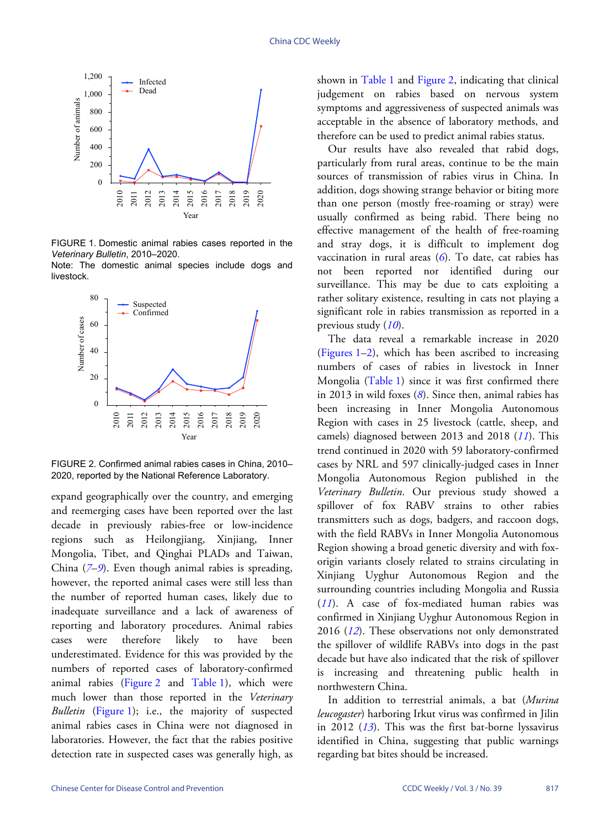<span id="page-2-0"></span>

FIGURE 1. Domestic animal rabies cases reported in the *Veterinary Bulletin*, 2010–2020. Note: The domestic animal species include dogs and

<span id="page-2-1"></span>livestock.



FIGURE 2. Confirmed animal rabies cases in China, 2010– 2020, reported by the National Reference Laboratory.

expand geographically over the country, and emerging and reemerging cases have been reported over the last decade in previously rabies-free or low-incidence regions such as Heilongjiang, Xinjiang, Inner Mongolia, Tibet, and Qinghai PLADs and Taiwan, China (*[7](#page-3-6)*–*[9](#page-3-7)*). Even though animal rabies is spreading, however, the reported animal cases were still less than the number of reported human cases, likely due to inadequate surveillance and a lack of awareness of reporting and laboratory procedures. Animal rabies cases were therefore likely to have been underestimated. Evidence for this was provided by the numbers of re[ported ca](#page-2-1)ses o[f labora](#page-1-0)tory-confirmed animal rabies [\(Figure 2](#page-2-1) and [Table 1](#page-1-0)), which were much lo[wer than](#page-2-0) those reported in the *Veterinary Bulletin* ([Figure 1](#page-2-0)); i.e., the majority of suspected animal rabies cases in China were not diagnosed in laboratories. However, the fact that the rabies positive detection rate in suspected cases was generally high, as

shown in [Table 1](#page-1-0) and [Figure 2,](#page-2-1) indicating that clinical judgement on rabies based on nervous system symptoms and aggressiveness of suspected animals was acceptable in the absence of laboratory methods, and therefore can be used to predict animal rabies status.

Our results have also revealed that rabid dogs, particularly from rural areas, continue to be the main sources of transmission of rabies virus in China. In addition, dogs showing strange behavior or biting more than one person (mostly free-roaming or stray) were usually confirmed as being rabid. There being no effective management of the health of free-roaming and stray dogs, it is difficult to implement dog vaccination in rural areas ([6](#page-3-5)). To date, cat rabies has not been reported nor identified during our surveillance. This may be due to cats exploiting a rather solitary existence, resulting in cats not playing a significant role in rabies transmission as reported in a previous study (*[10](#page-3-8)*).

The data reveal a remarkable increase in 2020 [\(Figures 1](#page-2-0)–[2](#page-2-1)), which has been ascribed to increasing numbers of cases of rabies in livestock in Inner Mongolia([Table 1](#page-1-0)) since it was first confirmed there in 2013 in wild foxes (*[8](#page-3-9)*). Since then, animal rabies has been increasing in Inner Mongolia Autonomous Region with cases in 25 livestock (cattle, sheep, and camels) diagnosed between 2013 and 2018 (*[11](#page-3-10)*). This trend continued in 2020 with 59 laboratory-confirmed cases by NRL and 597 clinically-judged cases in Inner Mongolia Autonomous Region published in the *Veterinary Bulletin*. Our previous study showed a spillover of fox RABV strains to other rabies transmitters such as dogs, badgers, and raccoon dogs, with the field RABVs in Inner Mongolia Autonomous Region showing a broad genetic diversity and with foxorigin variants closely related to strains circulating in Xinjiang Uyghur Autonomous Region and the [surr](#page-3-10)ounding countries including Mongolia and Russia (*[11](#page-3-10)*). A case of fox-mediated human rabies was confir[med](#page-3-11) in Xinjiang Uyghur Autonomous Region in 2016 (*[12](#page-3-11)*). These observations not only demonstrated the spillover of wildlife RABVs into dogs in the past decade but have also indicated that the risk of spillover is increasing and threatening public health in northwestern China.

In addition to terrestrial animals, a bat (*Murina leucogaster*[\) h](#page-3-12)arboring Irkut virus was confirmed in Jilin in 2012 (*[13](#page-3-12)*). This was the first bat-borne lyssavirus identified in China, suggesting that public warnings regarding bat bites should be increased.